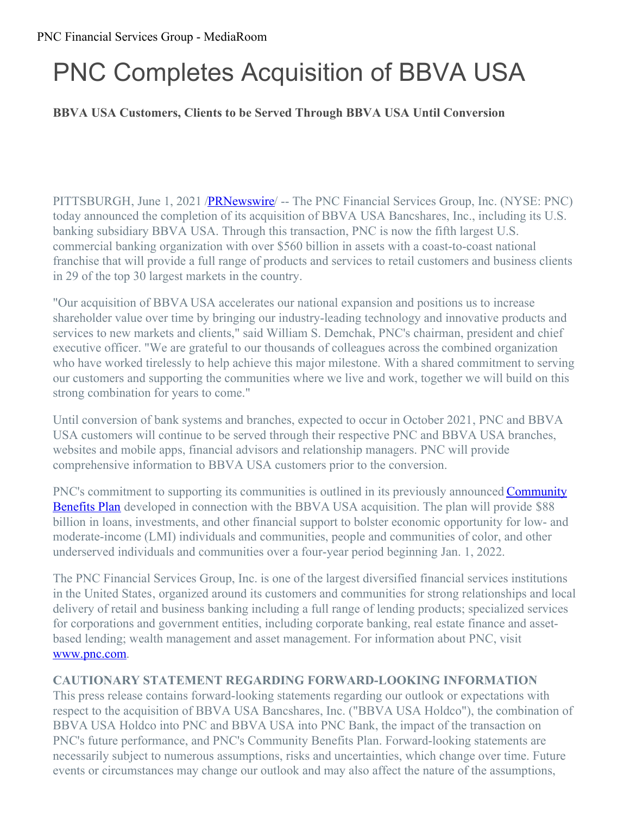# PNC Completes Acquisition of BBVA USA

# **BBVA USA Customers, Clients to be Served Through BBVA USA Until Conversion**

PITTSBURGH, June 1, 2021 /**PRNewswire** -- The PNC Financial Services Group, Inc. (NYSE: PNC) today announced the completion of its acquisition of BBVA USA Bancshares, Inc., including its U.S. banking subsidiary BBVA USA. Through this transaction, PNC is now the fifth largest U.S. commercial banking organization with over \$560 billion in assets with a coast-to-coast national franchise that will provide a full range of products and services to retail customers and business clients in 29 of the top 30 largest markets in the country.

"Our acquisition of BBVA USA accelerates our national expansion and positions us to increase shareholder value over time by bringing our industry-leading technology and innovative products and services to new markets and clients," said William S. Demchak, PNC's chairman, president and chief executive officer. "We are grateful to our thousands of colleagues across the combined organization who have worked tirelessly to help achieve this major milestone. With a shared commitment to serving our customers and supporting the communities where we live and work, together we will build on this strong combination for years to come."

Until conversion of bank systems and branches, expected to occur in October 2021, PNC and BBVA USA customers will continue to be served through their respective PNC and BBVA USA branches, websites and mobile apps, financial advisors and relationship managers. PNC will provide comprehensive information to BBVA USA customers prior to the conversion.

PNC's commitment to supporting its [communities](https://c212.net/c/link/?t=0&l=en&o=3181770-1&h=3556728963&u=https%3A%2F%2Fpnc.mediaroom.com%2F2021-04-27-PNC-Announces-88-Billion-Community-Benefits-Plan&a=Community+Benefits+Plan) is outlined in its previously announced **Community** Benefits Plan developed in connection with the BBVA USA acquisition. The plan will provide \$88 billion in loans, investments, and other financial support to bolster economic opportunity for low- and moderate-income (LMI) individuals and communities, people and communities of color, and other underserved individuals and communities over a four-year period beginning Jan. 1, 2022.

The PNC Financial Services Group, Inc. is one of the largest diversified financial services institutions in the United States, organized around its customers and communities for strong relationships and local delivery of retail and business banking including a full range of lending products; specialized services for corporations and government entities, including corporate banking, real estate finance and assetbased lending; wealth management and asset management. For information about PNC, visit [www.pnc.com](https://c212.net/c/link/?t=0&l=en&o=3181770-1&h=3396623533&u=http%3A%2F%2Fwww.pnc.com%2F&a=www.pnc.com).

### **CAUTIONARY STATEMENT REGARDING FORWARD-LOOKING INFORMATION**

This press release contains forward-looking statements regarding our outlook or expectations with respect to the acquisition of BBVA USA Bancshares, Inc. ("BBVA USA Holdco"), the combination of BBVA USA Holdco into PNC and BBVA USA into PNC Bank, the impact of the transaction on PNC's future performance, and PNC's Community Benefits Plan. Forward-looking statements are necessarily subject to numerous assumptions, risks and uncertainties, which change over time. Future events or circumstances may change our outlook and may also affect the nature of the assumptions,